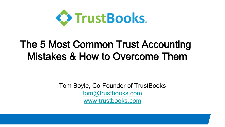

# The 5 Most Common Trust Accounting Mistakes & How to Overcome Them

Tom Boyle, Co-Founder of TrustBooks [tom@trustbooks.com](mailto:tom@trustbooks.com) [www.trustbooks.com](http://www.trustbooks.com/)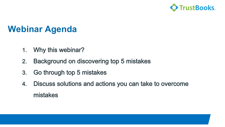

# **Webinar Agenda**

- 1. Why this webinar?
- 2. Background on discovering top 5 mistakes
- 3. Go through top 5 mistakes
- 4. Discuss solutions and actions you can take to overcome mistakes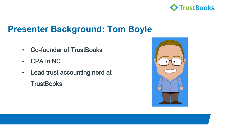

# **Presenter Background: Tom Boyle**

- Co-founder of TrustBooks
- CPA in NC
- Lead trust accounting nerd at
	- **TrustBooks**

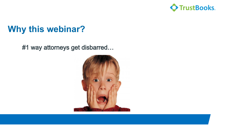

# **Why this webinar?**

#1 way attorneys get disbarred…

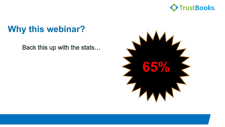

# **Why this webinar?**

Back this up with the stats…

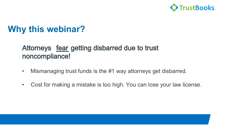

# **Why this webinar?**

#### Attorneys fear getting disbarred due to trust noncompliance!

- Mismanaging trust funds is the #1 way attorneys get disbarred.
- Cost for making a mistake is too high. You can lose your law license.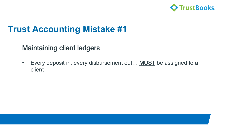

#### Maintaining client ledgers

• Every deposit in, every disbursement out... **MUST** be assigned to a client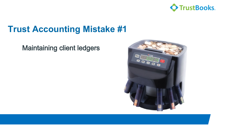

#### Maintaining client ledgers

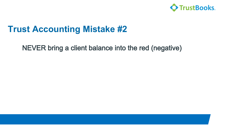

NEVER bring a client balance into the red (negative)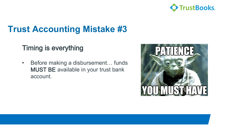

#### Timing is everything

• Before making a disbursement… funds MUST BE available in your trust bank account.

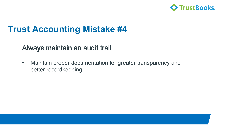

#### Always maintain an audit trail

• Maintain proper documentation for greater transparency and better recordkeeping.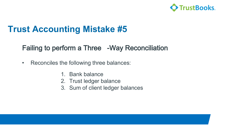

#### Failing to perform a Three -Way Reconciliation

- Reconciles the following three balances:
	- 1. Bank balance
	- 2. Trust ledger balance
	- 3. Sum of client ledger balances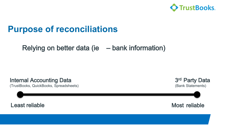

#### **Purpose of reconciliations**

#### Relying on better data (ie – bank information)

Internal Accounting Data (TrustBooks, QuickBooks, Spreadsheets)



Least reliable and the Most reliable Most reliable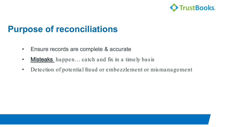

#### **Purpose of reconciliations**

- Ensure records are complete & accurate
- Misteaks happen... catch and fix in a timely basis
- Detection of potential fraud or embezzlement or mismanagement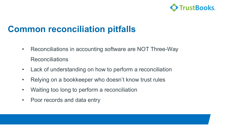

#### **Common reconciliation pitfalls**

- Reconciliations in accounting software are NOT Three-Way Reconciliations
- Lack of understanding on how to perform a reconciliation
- Relying on a bookkeeper who doesn't know trust rules
- Waiting too long to perform a reconciliation
- Poor records and data entry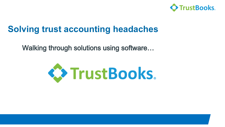

### **Solving trust accounting headaches**

Walking through solutions using software…

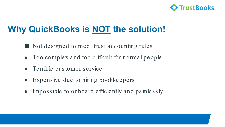

# **Why QuickBooks is NOT the solution!**

- Not designed to meet trust accounting rules
- Too complex and too difficult for normal people
- Terrible customer service
- Expensive due to hiring bookkeepers
- Impossible to onboard efficiently and painlessly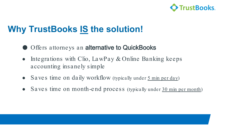

# **Why TrustBooks IS the solution!**

- Offers attorneys an alternative to QuickBooks
- Integrations with Clio, LawPay & Online Banking keeps accounting insanely simple
- Saves time on daily workflow (typically under 5 min per day)
- Saves time on month-end process (typically under 30 min per month)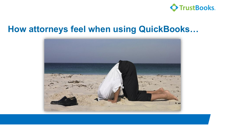

#### **How attorneys feel when using QuickBooks…**